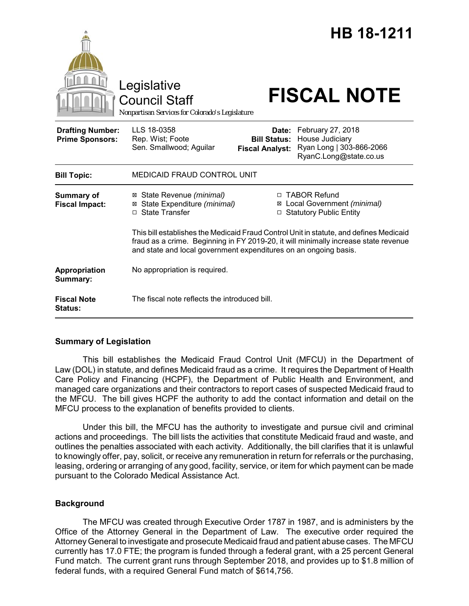|                                                   | Legislative<br><b>Council Staff</b><br>Nonpartisan Services for Colorado's Legislature                                                                                                                                                            |                                                        | HB 18-1211<br><b>FISCAL NOTE</b>                                                           |
|---------------------------------------------------|---------------------------------------------------------------------------------------------------------------------------------------------------------------------------------------------------------------------------------------------------|--------------------------------------------------------|--------------------------------------------------------------------------------------------|
| <b>Drafting Number:</b><br><b>Prime Sponsors:</b> | LLS 18-0358<br>Rep. Wist; Foote<br>Sen. Smallwood; Aguilar                                                                                                                                                                                        | Date:<br><b>Bill Status:</b><br><b>Fiscal Analyst:</b> | February 27, 2018<br>House Judiciary<br>Ryan Long   303-866-2066<br>RyanC.Long@state.co.us |
| <b>Bill Topic:</b>                                | <b>MEDICAID FRAUD CONTROL UNIT</b>                                                                                                                                                                                                                |                                                        |                                                                                            |
| <b>Summary of</b><br><b>Fiscal Impact:</b>        | ⊠ State Revenue (minimal)<br>State Expenditure (minimal)<br>⊠<br>□ State Transfer                                                                                                                                                                 |                                                        | □ TABOR Refund<br>⊠ Local Government (minimal)<br>□ Statutory Public Entity                |
|                                                   | This bill establishes the Medicaid Fraud Control Unit in statute, and defines Medicaid<br>fraud as a crime. Beginning in FY 2019-20, it will minimally increase state revenue<br>and state and local government expenditures on an ongoing basis. |                                                        |                                                                                            |
| Appropriation<br>Summary:                         | No appropriation is required.                                                                                                                                                                                                                     |                                                        |                                                                                            |
| <b>Fiscal Note</b><br><b>Status:</b>              | The fiscal note reflects the introduced bill.                                                                                                                                                                                                     |                                                        |                                                                                            |

### **Summary of Legislation**

This bill establishes the Medicaid Fraud Control Unit (MFCU) in the Department of Law (DOL) in statute, and defines Medicaid fraud as a crime. It requires the Department of Health Care Policy and Financing (HCPF), the Department of Public Health and Environment, and managed care organizations and their contractors to report cases of suspected Medicaid fraud to the MFCU. The bill gives HCPF the authority to add the contact information and detail on the MFCU process to the explanation of benefits provided to clients.

Under this bill, the MFCU has the authority to investigate and pursue civil and criminal actions and proceedings. The bill lists the activities that constitute Medicaid fraud and waste, and outlines the penalties associated with each activity. Additionally, the bill clarifies that it is unlawful to knowingly offer, pay, solicit, or receive any remuneration in return for referrals or the purchasing, leasing, ordering or arranging of any good, facility, service, or item for which payment can be made pursuant to the Colorado Medical Assistance Act.

### **Background**

The MFCU was created through Executive Order 1787 in 1987, and is administers by the Office of the Attorney General in the Department of Law. The executive order required the Attorney General to investigate and prosecute Medicaid fraud and patient abuse cases. The MFCU currently has 17.0 FTE; the program is funded through a federal grant, with a 25 percent General Fund match. The current grant runs through September 2018, and provides up to \$1.8 million of federal funds, with a required General Fund match of \$614,756.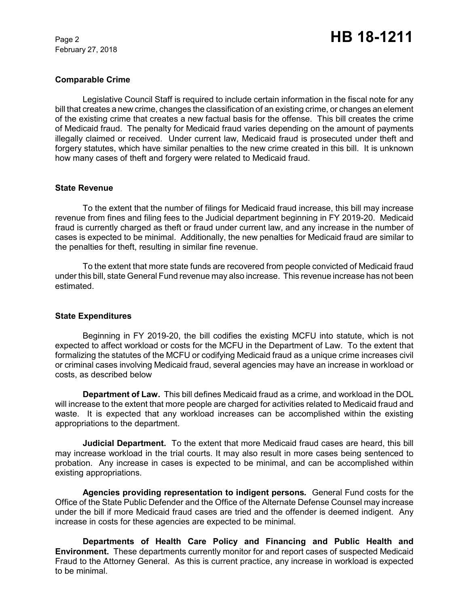February 27, 2018

### **Comparable Crime**

Legislative Council Staff is required to include certain information in the fiscal note for any bill that creates a new crime, changes the classification of an existing crime, or changes an element of the existing crime that creates a new factual basis for the offense. This bill creates the crime of Medicaid fraud. The penalty for Medicaid fraud varies depending on the amount of payments illegally claimed or received. Under current law, Medicaid fraud is prosecuted under theft and forgery statutes, which have similar penalties to the new crime created in this bill. It is unknown how many cases of theft and forgery were related to Medicaid fraud.

### **State Revenue**

To the extent that the number of filings for Medicaid fraud increase, this bill may increase revenue from fines and filing fees to the Judicial department beginning in FY 2019-20. Medicaid fraud is currently charged as theft or fraud under current law, and any increase in the number of cases is expected to be minimal. Additionally, the new penalties for Medicaid fraud are similar to the penalties for theft, resulting in similar fine revenue.

To the extent that more state funds are recovered from people convicted of Medicaid fraud under this bill, state General Fund revenue may also increase. This revenue increase has not been estimated.

### **State Expenditures**

Beginning in FY 2019-20, the bill codifies the existing MCFU into statute, which is not expected to affect workload or costs for the MCFU in the Department of Law. To the extent that formalizing the statutes of the MCFU or codifying Medicaid fraud as a unique crime increases civil or criminal cases involving Medicaid fraud, several agencies may have an increase in workload or costs, as described below

**Department of Law.** This bill defines Medicaid fraud as a crime, and workload in the DOL will increase to the extent that more people are charged for activities related to Medicaid fraud and waste. It is expected that any workload increases can be accomplished within the existing appropriations to the department.

**Judicial Department.** To the extent that more Medicaid fraud cases are heard, this bill may increase workload in the trial courts. It may also result in more cases being sentenced to probation. Any increase in cases is expected to be minimal, and can be accomplished within existing appropriations.

**Agencies providing representation to indigent persons***.* General Fund costs for the Office of the State Public Defender and the Office of the Alternate Defense Counsel may increase under the bill if more Medicaid fraud cases are tried and the offender is deemed indigent. Any increase in costs for these agencies are expected to be minimal.

**Departments of Health Care Policy and Financing and Public Health and Environment.** These departments currently monitor for and report cases of suspected Medicaid Fraud to the Attorney General. As this is current practice, any increase in workload is expected to be minimal.